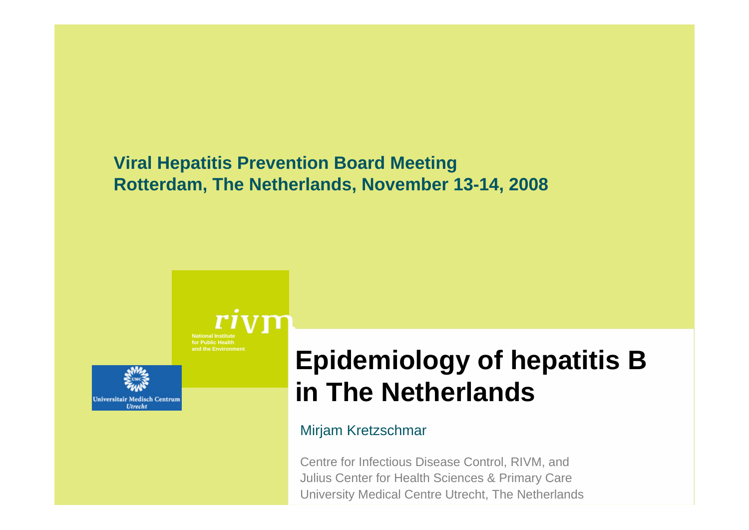### **Viral Hepatitis Prevention Board Meeting Rotterdam, The Netherlands, November 13-14, 2008**

**National Institutefor Public Healthand the Environment**



# **Epidemiology of hepatitis B in The Netherlands**

#### Mirjam Kretzschmar

Centre for Infectious Disease Control, RIVM, and Julius Center for Health Sciences & Primary Care University Medical Centre Utrecht, The Netherlands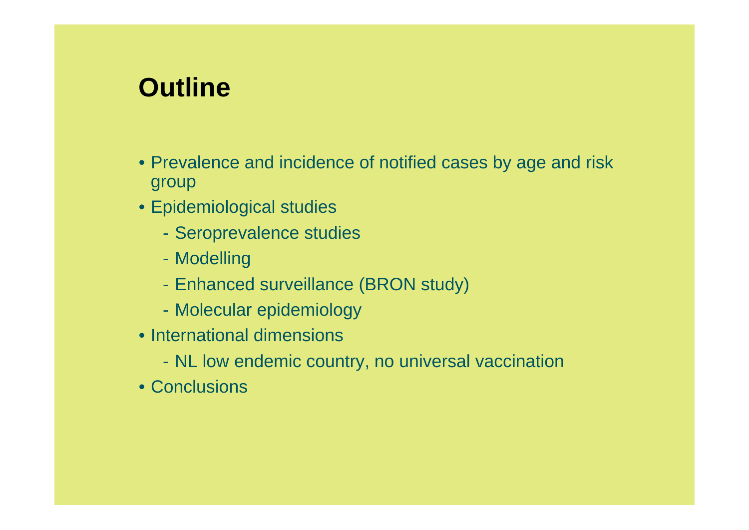# **Outline**

- Prevalence and incidence of notified cases by age and risk group
- Epidemiological studies
	- Seroprevalence studies
	- Modelling
	- Enhanced surveillance (BRON study)
	- Molecular epidemiology
- International dimensions
	- NL low endemic country, no universal vaccination
- Conclusions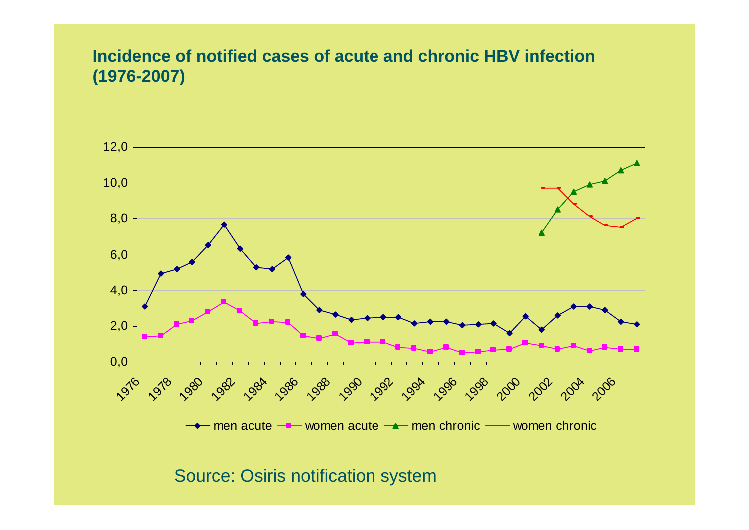#### **Incidence of notified cases of acute and chronic HBV infection (1976-2007)**



Source: Osiris notification system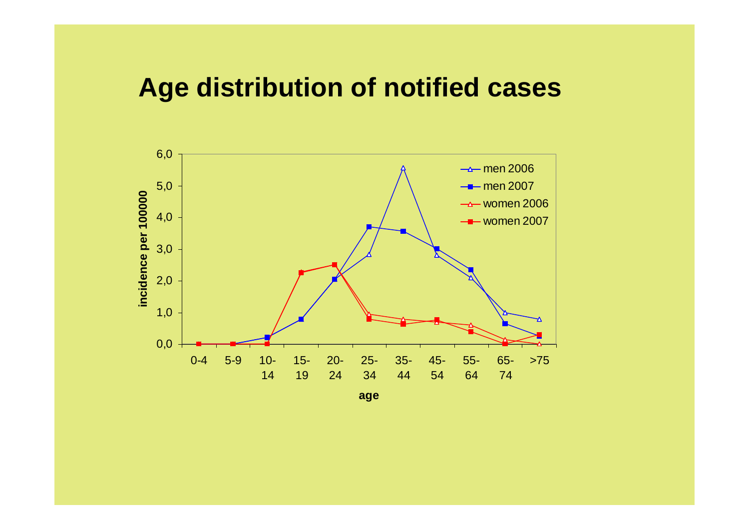### **Age distribution of notified cases**

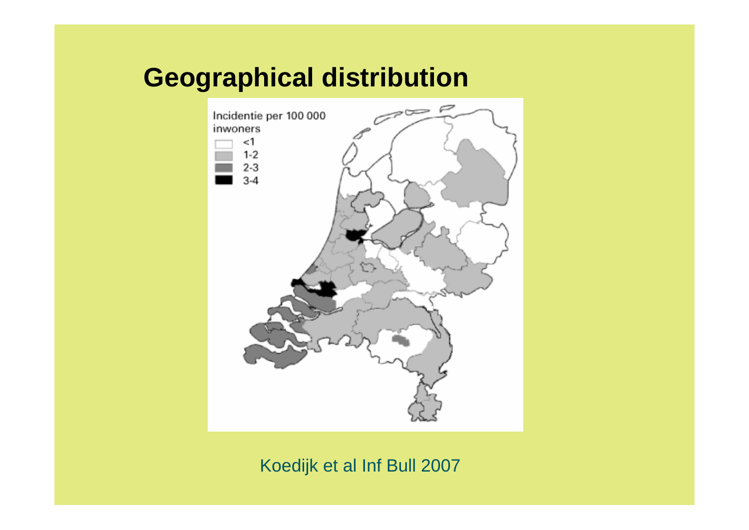## **Geographical distribution**



### Koedijk et al Inf Bull 2007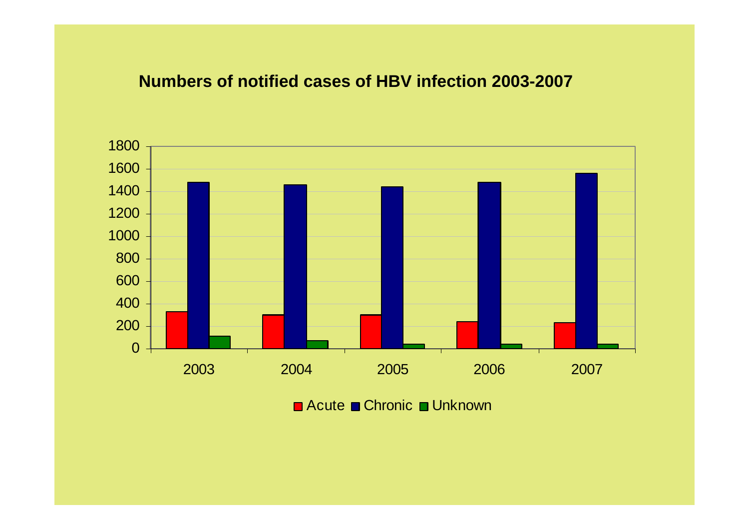#### **Numbers of notified cases of HBV infection 2003-2007**



Acute ■ Chronic ■ Unknown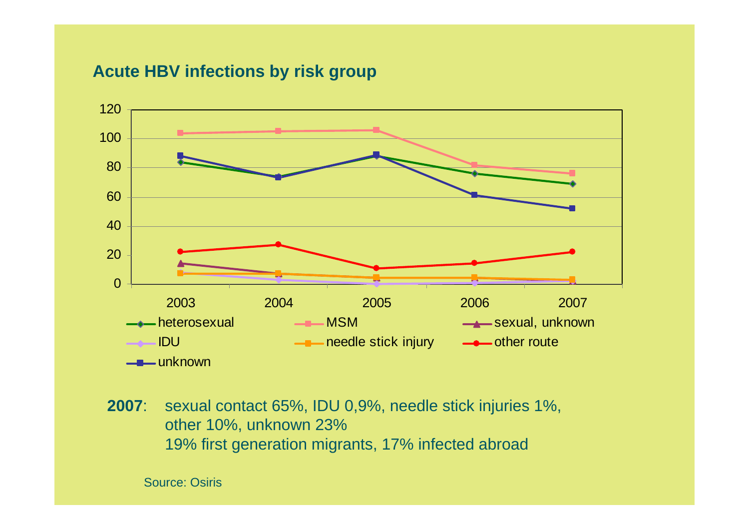#### **Acute HBV infections by risk group**



**2007**: sexual contact 65%, IDU 0,9%, needle stick injuries 1%, other 10%, unknown 23% 19% first generation migrants, 17% infected abroad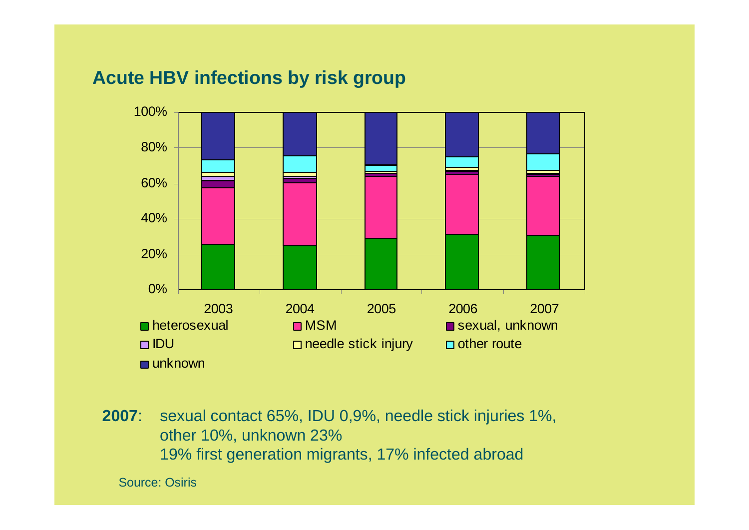### **Acute HBV infections by risk group**



**2007**: sexual contact 65%, IDU 0,9%, needle stick injuries 1%, other 10%, unknown 23% 19% first generation migrants, 17% infected abroad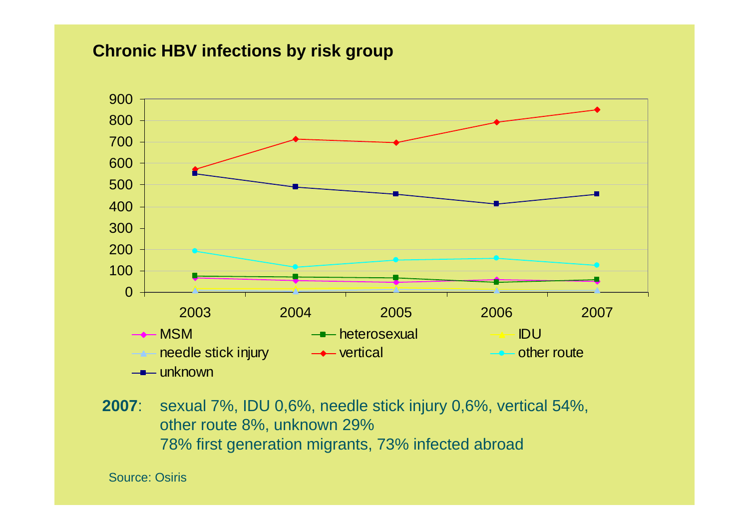#### **Chronic HBV infections by risk group**



**2007**: sexual 7%, IDU 0,6%, needle stick injury 0,6%, vertical 54%, other route 8%, unknown 29% 78% first generation migrants, 73% infected abroad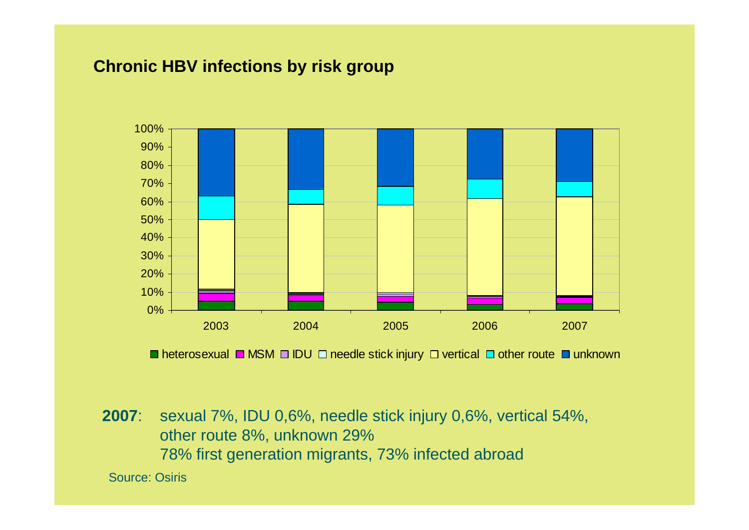### **Chronic HBV infections by risk group**



heterosexual □ MSM □ IDU □ needle stick injury □ vertical □ other route ■ unknown

**2007**: sexual 7%, IDU 0,6%, needle stick injury 0,6%, vertical 54%, other route 8%, unknown 29% 78% first generation migrants, 73% infected abroad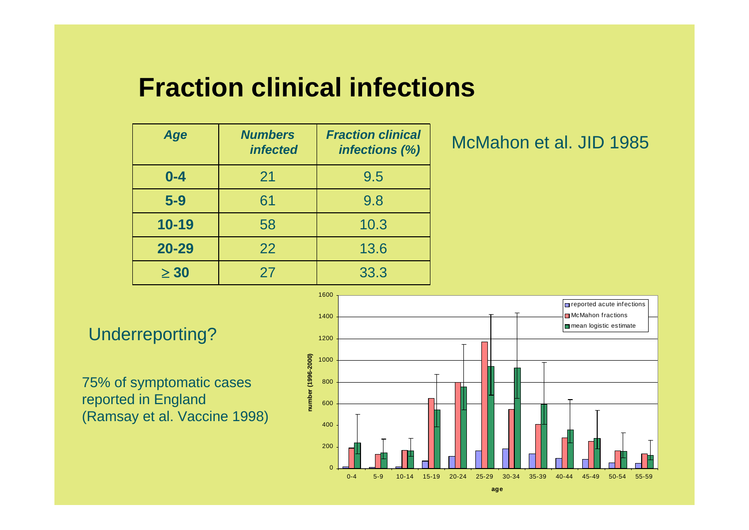# **Fraction clinical infections**

| Age       | <b>Numbers</b><br><i><b>infected</b></i> | <b>Fraction clinical</b><br>infections (%) |
|-----------|------------------------------------------|--------------------------------------------|
| $0 - 4$   | 21                                       | 9.5                                        |
| $5-9$     | 61                                       | 9.8                                        |
| $10 - 19$ | 58                                       | 10.3                                       |
| $20 - 29$ | 22                                       | 13.6                                       |
| $\geq 30$ | 27                                       | 33.3                                       |

### McMahon et al. JID 1985

75% of symptomatic cases reported in England (Ramsay et al. Vaccine 1998)

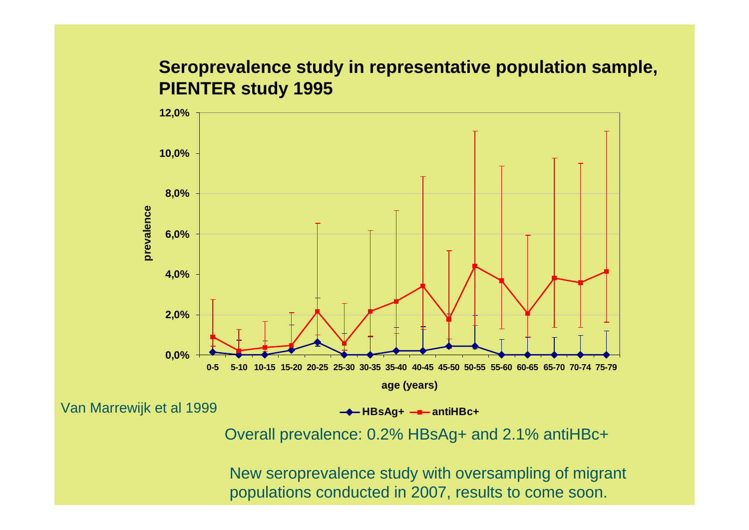### **Seroprevalence study in representative population sample, PIENTER study 1995**



Van Marrewijk et al 1999

 $→$  **HBsAg+**  $→$  **antiHBc+** 

Overall prevalence: 0.2% HBsAg+ and 2.1% antiHBc+

New seroprevalence study with oversampling of migrant populations conducted in 2007, results to come soon.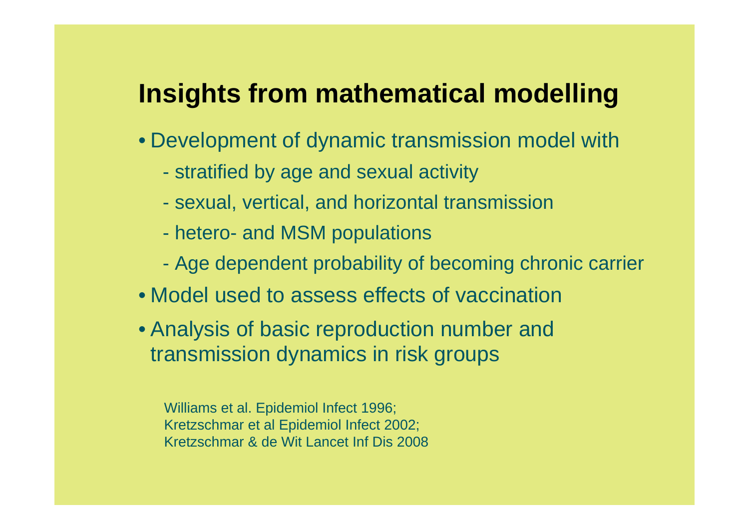## **Insights from mathematical modelling**

- Development of dynamic transmission model with
	- stratified by age and sexual activity
	- sexual, vertical, and horizontal transmission
	- hetero- and MSM populations
	- Age dependent probability of becoming chronic carrier
- Model used to assess effects of vaccination
- Analysis of basic reproduction number and transmission dynamics in risk groups

Williams et al. Epidemiol Infect 1996; Kretzschmar et al Epidemiol Infect 2002; Kretzschmar & de Wit Lancet Inf Dis 2008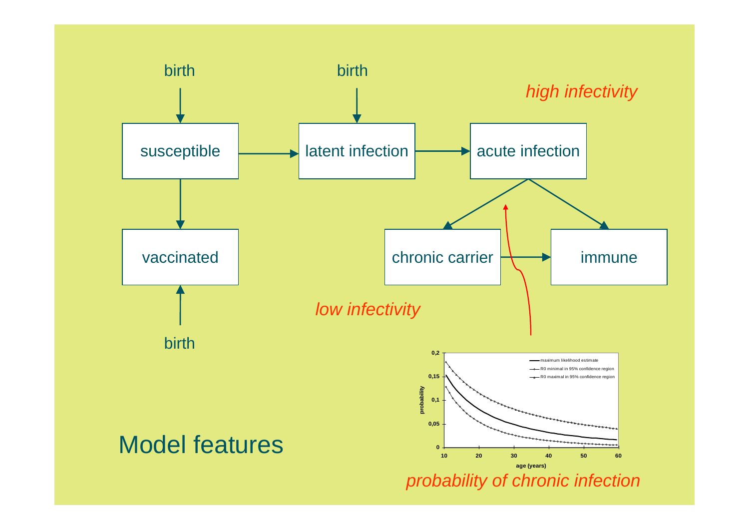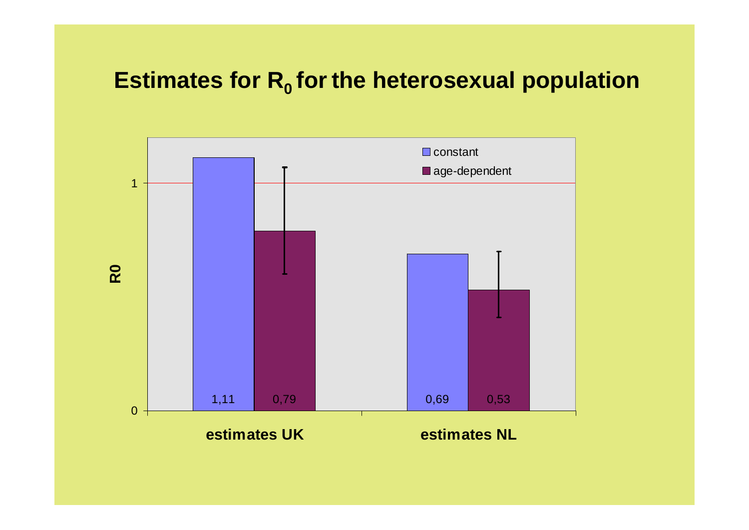### **Estimates for R<sub>0</sub> for the heterosexual population**

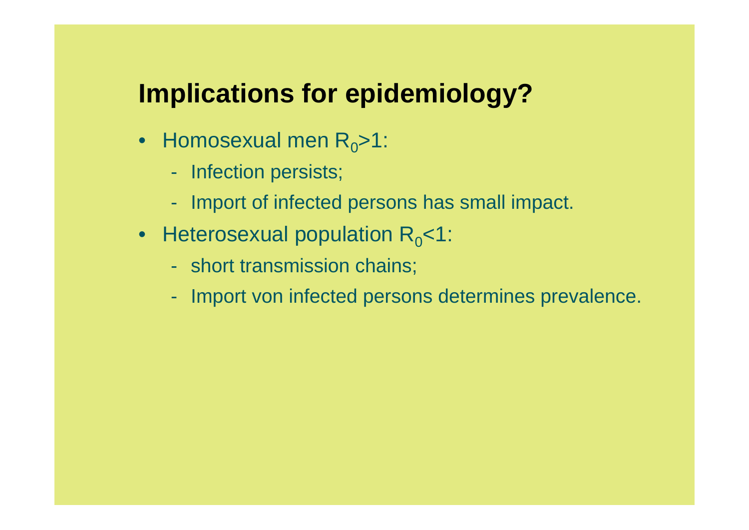# **Implications for epidemiology?**

- Homosexual men  $R_0 > 1$ :
	- Infection persists;
	- Import of infected persons has small impact.
- Heterosexual population  $R_0$ <1:
	- short transmission chains;
	- Import von infected persons determines prevalence.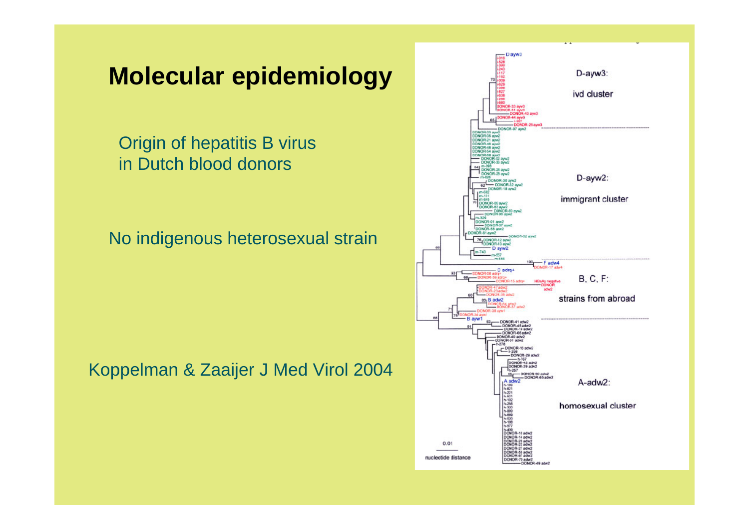### **Molecular epidemiology**

Origin of hepatitis B virus in Dutch blood donors

No indigenous heterosexual strain

Koppelman & Zaaijer J Med Virol 2004

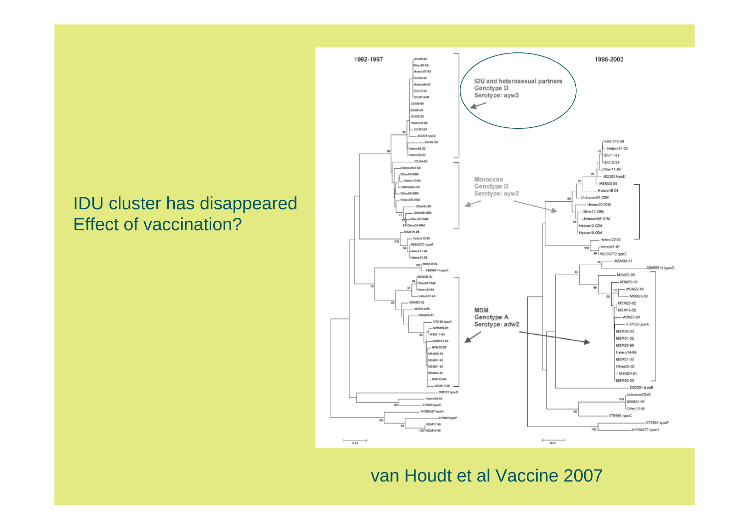### IDU cluster has disappeared Effect of vaccination?



#### van Houdt et al Vaccine 2007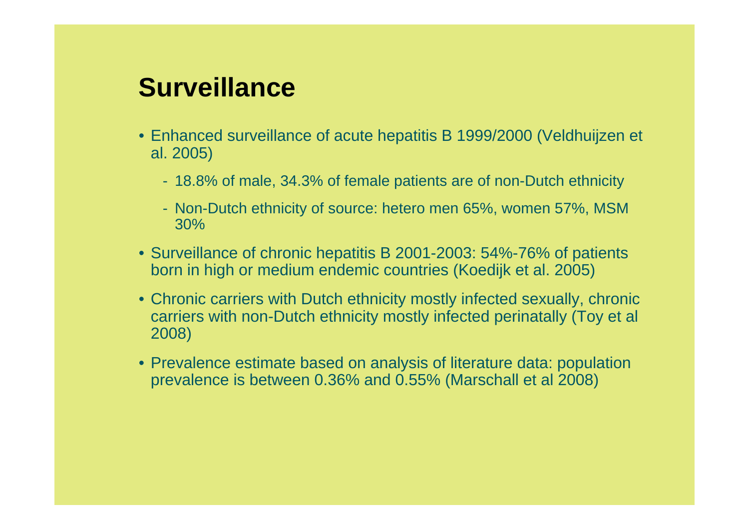# **Surveillance**

- Enhanced surveillance of acute hepatitis B 1999/2000 (Veldhuijzen et al. 2005)
	- 18.8% of male, 34.3% of female patients are of non-Dutch ethnicity
	- Non-Dutch ethnicity of source: hetero men 65%, women 57%, MSM 30%
- Surveillance of chronic hepatitis B 2001-2003: 54%-76% of patients born in high or medium endemic countries (Koedijk et al. 2005)
- Chronic carriers with Dutch ethnicity mostly infected sexually, chronic carriers with non-Dutch ethnicity mostly infected perinatally (Toy et al 2008)
- Prevalence estimate based on analysis of literature data: population prevalence is between 0.36% and 0.55% (Marschall et al 2008)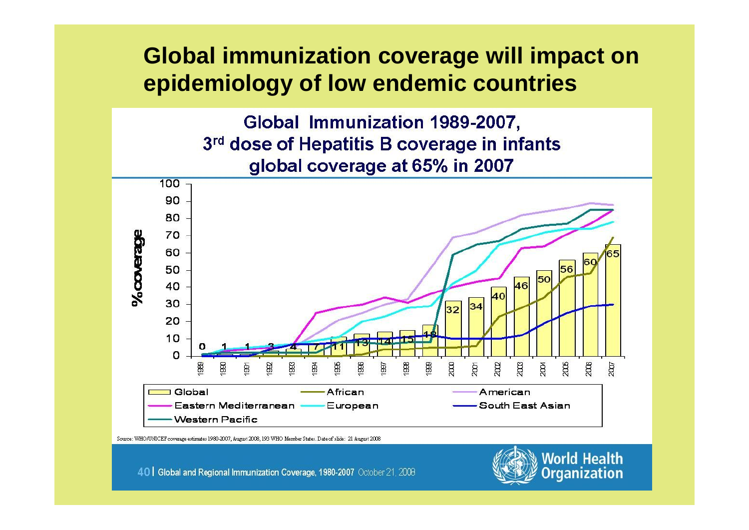### **Global immunization coverage will impact on epidemiology of low endemic countries**

Global Immunization 1989-2007, 3rd dose of Hepatitis B coverage in infants global coverage at 65% in 2007



Source: WHO/UNICEF coverage estimates 1980-2007, August 2008, 193 WHO Member States. Date of slide: 21 August 2008

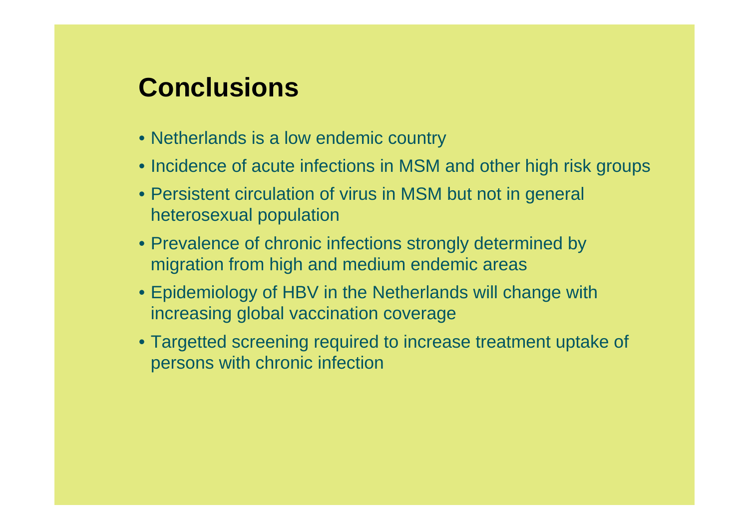# **Conclusions**

- Netherlands is a low endemic country
- Incidence of acute infections in MSM and other high risk groups
- Persistent circulation of virus in MSM but not in general heterosexual population
- Prevalence of chronic infections strongly determined by migration from high and medium endemic areas
- Epidemiology of HBV in the Netherlands will change with increasing global vaccination coverage
- Targetted screening required to increase treatment uptake of persons with chronic infection